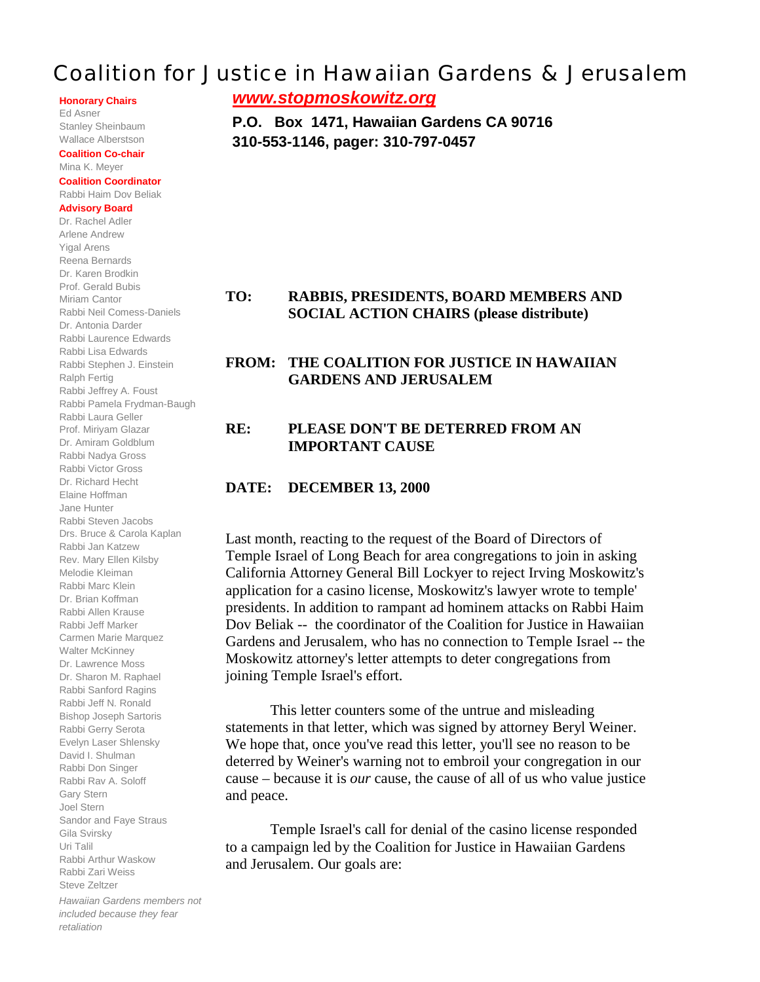# Coalition for Justice in Hawaiian Gardens & Jerusalem

**Honorary Chairs**

Ed Asner Stanley Sheinbaum Wallace Alberstson

#### **Coalition Co-chair** Mina K. Meyer

#### **Coalition Coordinator** Rabbi Haim Dov Beliak

#### **Advisory Board**

Dr. Rachel Adler Arlene Andrew Yigal Arens Reena Bernards Dr. Karen Brodkin Prof. Gerald Bubis Miriam Cantor Rabbi Neil Comess-Daniels Dr. Antonia Darder Rabbi Laurence Edwards Rabbi Lisa Edwards Rabbi Stephen J. Einstein Ralph Fertig Rabbi Jeffrey A. Foust Rabbi Pamela Frydman-Baugh Rabbi Laura Geller Prof. Miriyam Glazar Dr. Amiram Goldblum Rabbi Nadya Gross Rabbi Victor Gross Dr. Richard Hecht Elaine Hoffman Jane Hunter Rabbi Steven Jacobs Drs. Bruce & Carola Kaplan Rabbi Jan Katzew Rev. Mary Ellen Kilsby Melodie Kleiman Rabbi Marc Klein Dr. Brian Koffman Rabbi Allen Krause Rabbi Jeff Marker Carmen Marie Marquez Walter McKinney Dr. Lawrence Moss Dr. Sharon M. Raphael Rabbi Sanford Ragins Rabbi Jeff N. Ronald Bishop Joseph Sartoris Rabbi Gerry Serota Evelyn Laser Shlensky David I. Shulman Rabbi Don Singer Rabbi Rav A. Soloff Gary Stern Joel Stern Sandor and Faye Straus Gila Svirsky Uri Talil Rabbi Arthur Waskow Rabbi Zari Weiss Steve Zeltzer *Hawaiian Gardens members not*

*included because they fear retaliation*

*www.stopmoskowitz.org*

**P.O. Box 1471, Hawaiian Gardens CA 90716 310-553-1146, pager: 310-797-0457**

### **TO: RABBIS, PRESIDENTS, BOARD MEMBERS AND SOCIAL ACTION CHAIRS (please distribute)**

### **FROM: THE COALITION FOR JUSTICE IN HAWAIIAN GARDENS AND JERUSALEM**

### **RE: PLEASE DON'T BE DETERRED FROM AN IMPORTANT CAUSE**

#### **DATE: DECEMBER 13, 2000**

Last month, reacting to the request of the Board of Directors of Temple Israel of Long Beach for area congregations to join in asking California Attorney General Bill Lockyer to reject Irving Moskowitz's application for a casino license, Moskowitz's lawyer wrote to temple' presidents. In addition to rampant ad hominem attacks on Rabbi Haim Dov Beliak -- the coordinator of the Coalition for Justice in Hawaiian Gardens and Jerusalem, who has no connection to Temple Israel -- the Moskowitz attorney's letter attempts to deter congregations from joining Temple Israel's effort.

This letter counters some of the untrue and misleading statements in that letter, which was signed by attorney Beryl Weiner. We hope that, once you've read this letter, you'll see no reason to be deterred by Weiner's warning not to embroil your congregation in our cause – because it is *our* cause, the cause of all of us who value justice and peace.

Temple Israel's call for denial of the casino license responded to a campaign led by the Coalition for Justice in Hawaiian Gardens and Jerusalem. Our goals are: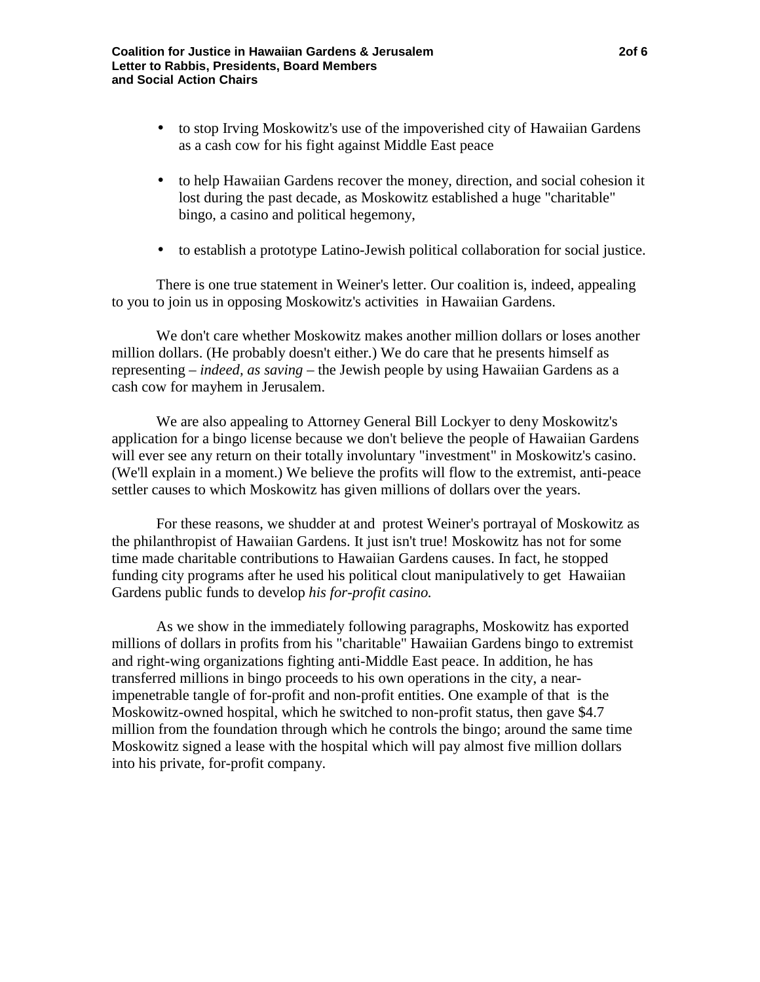- to stop Irving Moskowitz's use of the impoverished city of Hawaiian Gardens as a cash cow for his fight against Middle East peace
- to help Hawaiian Gardens recover the money, direction, and social cohesion it lost during the past decade, as Moskowitz established a huge "charitable" bingo, a casino and political hegemony,
- to establish a prototype Latino-Jewish political collaboration for social justice.

There is one true statement in Weiner's letter. Our coalition is, indeed, appealing to you to join us in opposing Moskowitz's activities in Hawaiian Gardens.

We don't care whether Moskowitz makes another million dollars or loses another million dollars. (He probably doesn't either.) We do care that he presents himself as representing – *indeed, as saving* – the Jewish people by using Hawaiian Gardens as a cash cow for mayhem in Jerusalem.

We are also appealing to Attorney General Bill Lockyer to deny Moskowitz's application for a bingo license because we don't believe the people of Hawaiian Gardens will ever see any return on their totally involuntary "investment" in Moskowitz's casino. (We'll explain in a moment.) We believe the profits will flow to the extremist, anti-peace settler causes to which Moskowitz has given millions of dollars over the years.

For these reasons, we shudder at and protest Weiner's portrayal of Moskowitz as the philanthropist of Hawaiian Gardens. It just isn't true! Moskowitz has not for some time made charitable contributions to Hawaiian Gardens causes. In fact, he stopped funding city programs after he used his political clout manipulatively to get Hawaiian Gardens public funds to develop *his for-profit casino.*

As we show in the immediately following paragraphs, Moskowitz has exported millions of dollars in profits from his "charitable" Hawaiian Gardens bingo to extremist and right-wing organizations fighting anti-Middle East peace. In addition, he has transferred millions in bingo proceeds to his own operations in the city, a nearimpenetrable tangle of for-profit and non-profit entities. One example of that is the Moskowitz-owned hospital, which he switched to non-profit status, then gave \$4.7 million from the foundation through which he controls the bingo; around the same time Moskowitz signed a lease with the hospital which will pay almost five million dollars into his private, for-profit company.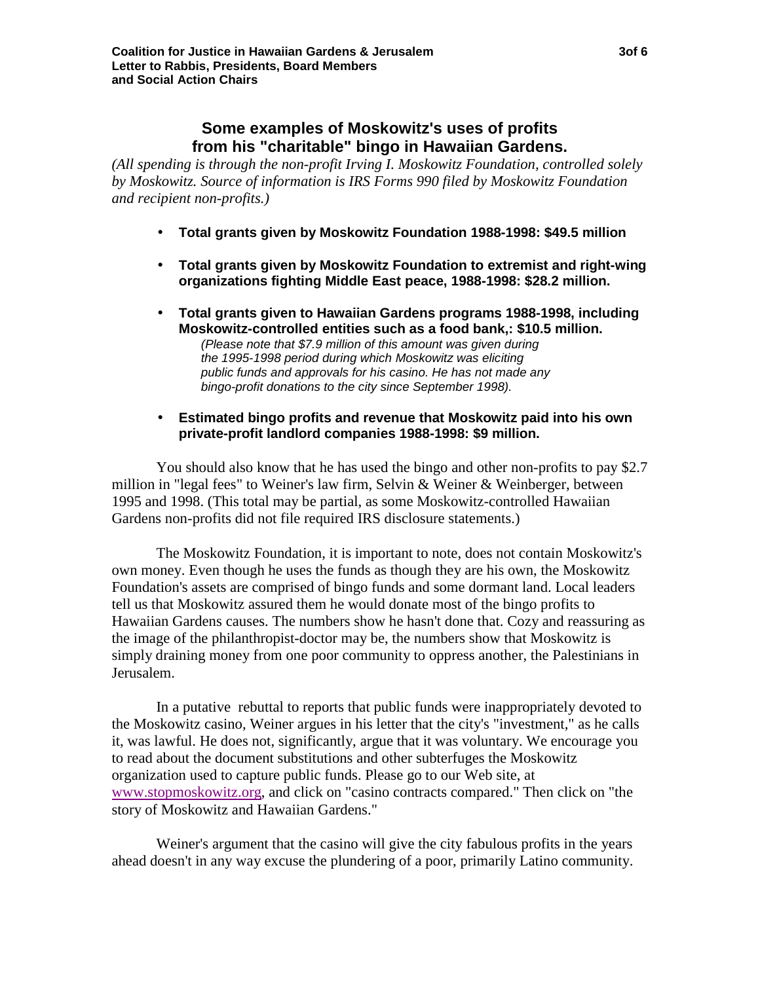## **Some examples of Moskowitz's uses of profits from his "charitable" bingo in Hawaiian Gardens.**

*(All spending is through the non-profit Irving I. Moskowitz Foundation, controlled solely by Moskowitz. Source of information is IRS Forms 990 filed by Moskowitz Foundation and recipient non-profits.)*

- **Total grants given by Moskowitz Foundation 1988-1998: \$49.5 million**
- **Total grants given by Moskowitz Foundation to extremist and right-wing organizations fighting Middle East peace, 1988-1998: \$28.2 million.**
- **Total grants given to Hawaiian Gardens programs 1988-1998, including Moskowitz-controlled entities such as a food bank,: \$10.5 million.**

*(Please note that \$7.9 million of this amount was given during the 1995-1998 period during which Moskowitz was eliciting public funds and approvals for his casino. He has not made any bingo-profit donations to the city since September 1998).*

• **Estimated bingo profits and revenue that Moskowitz paid into his own private-profit landlord companies 1988-1998: \$9 million.**

You should also know that he has used the bingo and other non-profits to pay \$2.7 million in "legal fees" to Weiner's law firm, Selvin & Weiner & Weinberger, between 1995 and 1998. (This total may be partial, as some Moskowitz-controlled Hawaiian Gardens non-profits did not file required IRS disclosure statements.)

The Moskowitz Foundation, it is important to note, does not contain Moskowitz's own money. Even though he uses the funds as though they are his own, the Moskowitz Foundation's assets are comprised of bingo funds and some dormant land. Local leaders tell us that Moskowitz assured them he would donate most of the bingo profits to Hawaiian Gardens causes. The numbers show he hasn't done that. Cozy and reassuring as the image of the philanthropist-doctor may be, the numbers show that Moskowitz is simply draining money from one poor community to oppress another, the Palestinians in Jerusalem.

In a putative rebuttal to reports that public funds were inappropriately devoted to the Moskowitz casino, Weiner argues in his letter that the city's "investment," as he calls it, was lawful. He does not, significantly, argue that it was voluntary. We encourage you to read about the document substitutions and other subterfuges the Moskowitz organization used to capture public funds. Please go to our Web site, at www.stopmoskowitz.org, and click on "casino contracts compared." Then click on "the story of Moskowitz and Hawaiian Gardens."

Weiner's argument that the casino will give the city fabulous profits in the years ahead doesn't in any way excuse the plundering of a poor, primarily Latino community.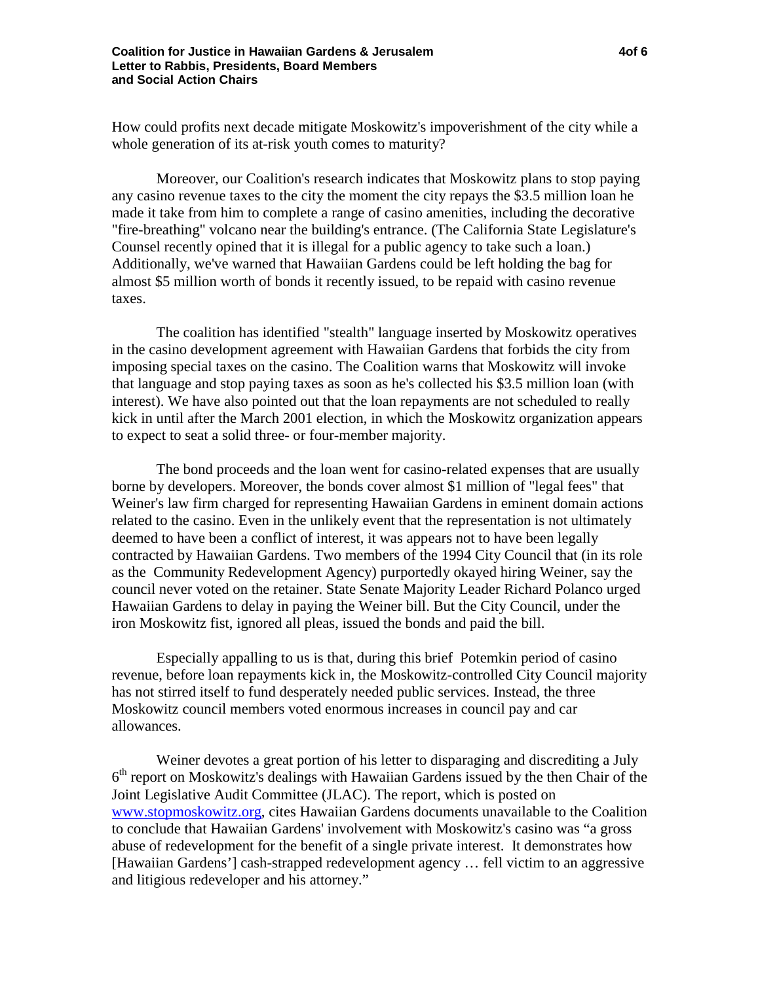How could profits next decade mitigate Moskowitz's impoverishment of the city while a whole generation of its at-risk youth comes to maturity?

Moreover, our Coalition's research indicates that Moskowitz plans to stop paying any casino revenue taxes to the city the moment the city repays the \$3.5 million loan he made it take from him to complete a range of casino amenities, including the decorative "fire-breathing" volcano near the building's entrance. (The California State Legislature's Counsel recently opined that it is illegal for a public agency to take such a loan.) Additionally, we've warned that Hawaiian Gardens could be left holding the bag for almost \$5 million worth of bonds it recently issued, to be repaid with casino revenue taxes.

The coalition has identified "stealth" language inserted by Moskowitz operatives in the casino development agreement with Hawaiian Gardens that forbids the city from imposing special taxes on the casino. The Coalition warns that Moskowitz will invoke that language and stop paying taxes as soon as he's collected his \$3.5 million loan (with interest). We have also pointed out that the loan repayments are not scheduled to really kick in until after the March 2001 election, in which the Moskowitz organization appears to expect to seat a solid three- or four-member majority.

The bond proceeds and the loan went for casino-related expenses that are usually borne by developers. Moreover, the bonds cover almost \$1 million of "legal fees" that Weiner's law firm charged for representing Hawaiian Gardens in eminent domain actions related to the casino. Even in the unlikely event that the representation is not ultimately deemed to have been a conflict of interest, it was appears not to have been legally contracted by Hawaiian Gardens. Two members of the 1994 City Council that (in its role as the Community Redevelopment Agency) purportedly okayed hiring Weiner, say the council never voted on the retainer. State Senate Majority Leader Richard Polanco urged Hawaiian Gardens to delay in paying the Weiner bill. But the City Council, under the iron Moskowitz fist, ignored all pleas, issued the bonds and paid the bill.

Especially appalling to us is that, during this brief Potemkin period of casino revenue, before loan repayments kick in, the Moskowitz-controlled City Council majority has not stirred itself to fund desperately needed public services. Instead, the three Moskowitz council members voted enormous increases in council pay and car allowances.

Weiner devotes a great portion of his letter to disparaging and discrediting a July  $6<sup>th</sup>$  report on Moskowitz's dealings with Hawaiian Gardens issued by the then Chair of the Joint Legislative Audit Committee (JLAC). The report, which is posted on www.stopmoskowitz.org, cites Hawaiian Gardens documents unavailable to the Coalition to conclude that Hawaiian Gardens' involvement with Moskowitz's casino was "a gross abuse of redevelopment for the benefit of a single private interest. It demonstrates how [Hawaiian Gardens'] cash-strapped redevelopment agency … fell victim to an aggressive and litigious redeveloper and his attorney."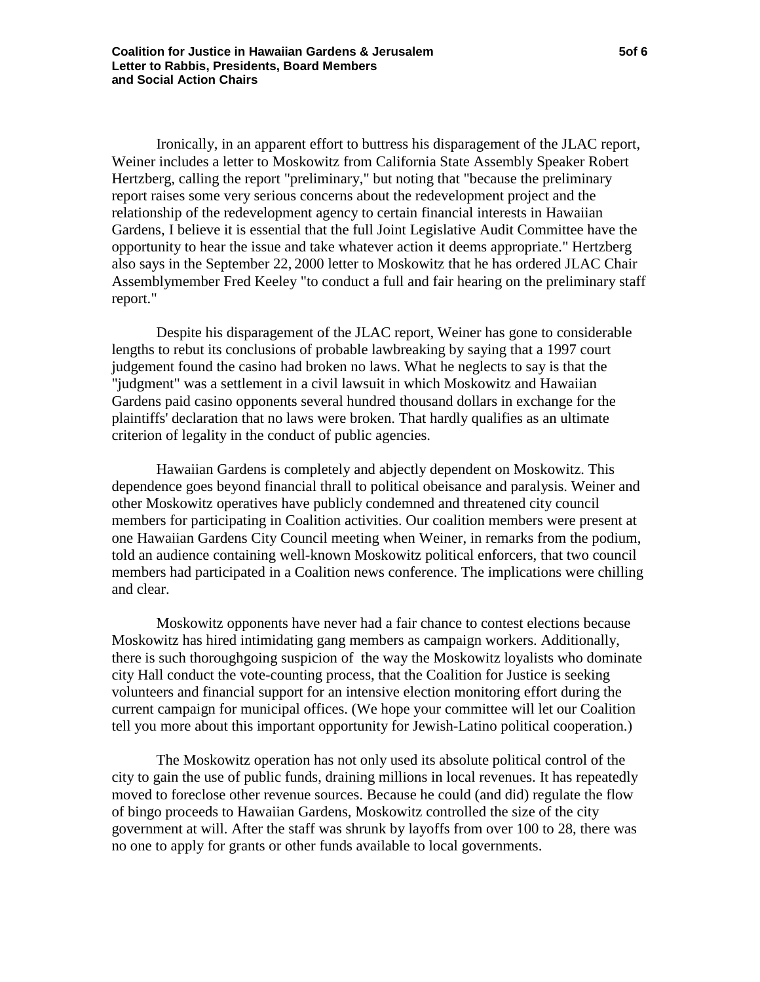Ironically, in an apparent effort to buttress his disparagement of the JLAC report, Weiner includes a letter to Moskowitz from California State Assembly Speaker Robert Hertzberg, calling the report "preliminary," but noting that "because the preliminary report raises some very serious concerns about the redevelopment project and the relationship of the redevelopment agency to certain financial interests in Hawaiian Gardens, I believe it is essential that the full Joint Legislative Audit Committee have the opportunity to hear the issue and take whatever action it deems appropriate." Hertzberg also says in the September 22, 2000 letter to Moskowitz that he has ordered JLAC Chair Assemblymember Fred Keeley "to conduct a full and fair hearing on the preliminary staff report."

Despite his disparagement of the JLAC report, Weiner has gone to considerable lengths to rebut its conclusions of probable lawbreaking by saying that a 1997 court judgement found the casino had broken no laws. What he neglects to say is that the "judgment" was a settlement in a civil lawsuit in which Moskowitz and Hawaiian Gardens paid casino opponents several hundred thousand dollars in exchange for the plaintiffs' declaration that no laws were broken. That hardly qualifies as an ultimate criterion of legality in the conduct of public agencies.

Hawaiian Gardens is completely and abjectly dependent on Moskowitz. This dependence goes beyond financial thrall to political obeisance and paralysis. Weiner and other Moskowitz operatives have publicly condemned and threatened city council members for participating in Coalition activities. Our coalition members were present at one Hawaiian Gardens City Council meeting when Weiner, in remarks from the podium, told an audience containing well-known Moskowitz political enforcers, that two council members had participated in a Coalition news conference. The implications were chilling and clear.

Moskowitz opponents have never had a fair chance to contest elections because Moskowitz has hired intimidating gang members as campaign workers. Additionally, there is such thoroughgoing suspicion of the way the Moskowitz loyalists who dominate city Hall conduct the vote-counting process, that the Coalition for Justice is seeking volunteers and financial support for an intensive election monitoring effort during the current campaign for municipal offices. (We hope your committee will let our Coalition tell you more about this important opportunity for Jewish-Latino political cooperation.)

The Moskowitz operation has not only used its absolute political control of the city to gain the use of public funds, draining millions in local revenues. It has repeatedly moved to foreclose other revenue sources. Because he could (and did) regulate the flow of bingo proceeds to Hawaiian Gardens, Moskowitz controlled the size of the city government at will. After the staff was shrunk by layoffs from over 100 to 28, there was no one to apply for grants or other funds available to local governments.